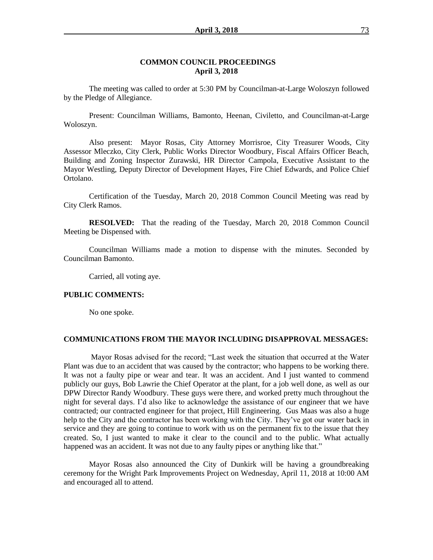#### **COMMON COUNCIL PROCEEDINGS April 3, 2018**

The meeting was called to order at 5:30 PM by Councilman-at-Large Woloszyn followed by the Pledge of Allegiance.

Present: Councilman Williams, Bamonto, Heenan, Civiletto, and Councilman-at-Large Woloszyn.

Also present: Mayor Rosas, City Attorney Morrisroe, City Treasurer Woods, City Assessor Mleczko, City Clerk, Public Works Director Woodbury, Fiscal Affairs Officer Beach, Building and Zoning Inspector Zurawski, HR Director Campola, Executive Assistant to the Mayor Westling, Deputy Director of Development Hayes, Fire Chief Edwards, and Police Chief Ortolano.

Certification of the Tuesday, March 20, 2018 Common Council Meeting was read by City Clerk Ramos.

**RESOLVED:** That the reading of the Tuesday, March 20, 2018 Common Council Meeting be Dispensed with.

Councilman Williams made a motion to dispense with the minutes. Seconded by Councilman Bamonto.

Carried, all voting aye.

#### **PUBLIC COMMENTS:**

No one spoke.

#### **COMMUNICATIONS FROM THE MAYOR INCLUDING DISAPPROVAL MESSAGES:**

Mayor Rosas advised for the record; "Last week the situation that occurred at the Water Plant was due to an accident that was caused by the contractor; who happens to be working there. It was not a faulty pipe or wear and tear. It was an accident. And I just wanted to commend publicly our guys, Bob Lawrie the Chief Operator at the plant, for a job well done, as well as our DPW Director Randy Woodbury. These guys were there, and worked pretty much throughout the night for several days. I'd also like to acknowledge the assistance of our engineer that we have contracted; our contracted engineer for that project, Hill Engineering. Gus Maas was also a huge help to the City and the contractor has been working with the City. They've got our water back in service and they are going to continue to work with us on the permanent fix to the issue that they created. So, I just wanted to make it clear to the council and to the public. What actually happened was an accident. It was not due to any faulty pipes or anything like that."

Mayor Rosas also announced the City of Dunkirk will be having a groundbreaking ceremony for the Wright Park Improvements Project on Wednesday, April 11, 2018 at 10:00 AM and encouraged all to attend.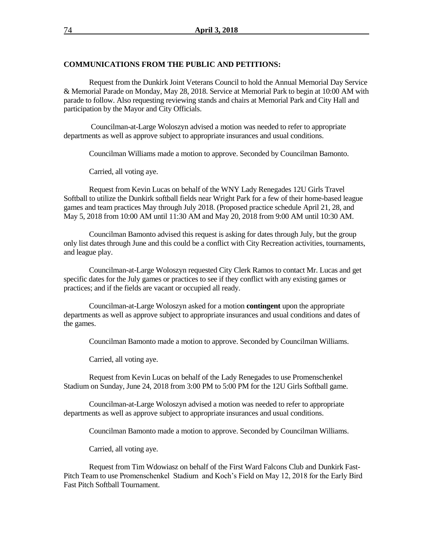#### **COMMUNICATIONS FROM THE PUBLIC AND PETITIONS:**

Request from the Dunkirk Joint Veterans Council to hold the Annual Memorial Day Service & Memorial Parade on Monday, May 28, 2018. Service at Memorial Park to begin at 10:00 AM with parade to follow. Also requesting reviewing stands and chairs at Memorial Park and City Hall and participation by the Mayor and City Officials.

Councilman-at-Large Woloszyn advised a motion was needed to refer to appropriate departments as well as approve subject to appropriate insurances and usual conditions.

Councilman Williams made a motion to approve. Seconded by Councilman Bamonto.

Carried, all voting aye.

Request from Kevin Lucas on behalf of the WNY Lady Renegades 12U Girls Travel Softball to utilize the Dunkirk softball fields near Wright Park for a few of their home-based league games and team practices May through July 2018. (Proposed practice schedule April 21, 28, and May 5, 2018 from 10:00 AM until 11:30 AM and May 20, 2018 from 9:00 AM until 10:30 AM.

Councilman Bamonto advised this request is asking for dates through July, but the group only list dates through June and this could be a conflict with City Recreation activities, tournaments, and league play.

Councilman-at-Large Woloszyn requested City Clerk Ramos to contact Mr. Lucas and get specific dates for the July games or practices to see if they conflict with any existing games or practices; and if the fields are vacant or occupied all ready.

Councilman-at-Large Woloszyn asked for a motion **contingent** upon the appropriate departments as well as approve subject to appropriate insurances and usual conditions and dates of the games.

Councilman Bamonto made a motion to approve. Seconded by Councilman Williams.

Carried, all voting aye.

Request from Kevin Lucas on behalf of the Lady Renegades to use Promenschenkel Stadium on Sunday, June 24, 2018 from 3:00 PM to 5:00 PM for the 12U Girls Softball game.

Councilman-at-Large Woloszyn advised a motion was needed to refer to appropriate departments as well as approve subject to appropriate insurances and usual conditions.

Councilman Bamonto made a motion to approve. Seconded by Councilman Williams.

Carried, all voting aye.

Request from Tim Wdowiasz on behalf of the First Ward Falcons Club and Dunkirk Fast-Pitch Team to use Promenschenkel Stadium and Koch's Field on May 12, 2018 for the Early Bird Fast Pitch Softball Tournament.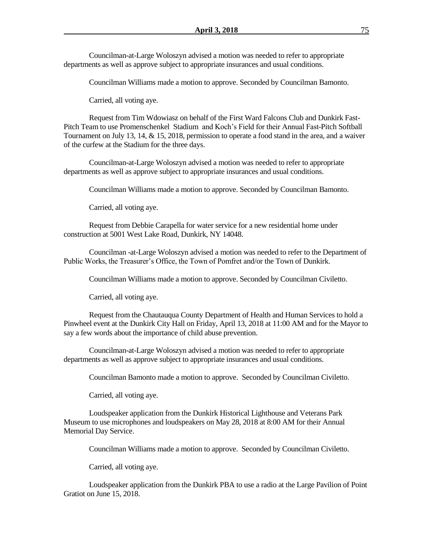Councilman-at-Large Woloszyn advised a motion was needed to refer to appropriate departments as well as approve subject to appropriate insurances and usual conditions.

Councilman Williams made a motion to approve. Seconded by Councilman Bamonto.

Carried, all voting aye.

Request from Tim Wdowiasz on behalf of the First Ward Falcons Club and Dunkirk Fast-Pitch Team to use Promenschenkel Stadium and Koch's Field for their Annual Fast-Pitch Softball Tournament on July 13, 14, & 15, 2018, permission to operate a food stand in the area, and a waiver of the curfew at the Stadium for the three days.

Councilman-at-Large Woloszyn advised a motion was needed to refer to appropriate departments as well as approve subject to appropriate insurances and usual conditions.

Councilman Williams made a motion to approve. Seconded by Councilman Bamonto.

Carried, all voting aye.

Request from Debbie Carapella for water service for a new residential home under construction at 5001 West Lake Road, Dunkirk, NY 14048.

Councilman -at-Large Woloszyn advised a motion was needed to refer to the Department of Public Works, the Treasurer's Office, the Town of Pomfret and/or the Town of Dunkirk.

Councilman Williams made a motion to approve. Seconded by Councilman Civiletto.

Carried, all voting aye.

Request from the Chautauqua County Department of Health and Human Services to hold a Pinwheel event at the Dunkirk City Hall on Friday, April 13, 2018 at 11:00 AM and for the Mayor to say a few words about the importance of child abuse prevention.

Councilman-at-Large Woloszyn advised a motion was needed to refer to appropriate departments as well as approve subject to appropriate insurances and usual conditions.

Councilman Bamonto made a motion to approve. Seconded by Councilman Civiletto.

Carried, all voting aye.

Loudspeaker application from the Dunkirk Historical Lighthouse and Veterans Park Museum to use microphones and loudspeakers on May 28, 2018 at 8:00 AM for their Annual Memorial Day Service.

Councilman Williams made a motion to approve. Seconded by Councilman Civiletto.

Carried, all voting aye.

Loudspeaker application from the Dunkirk PBA to use a radio at the Large Pavilion of Point Gratiot on June 15, 2018.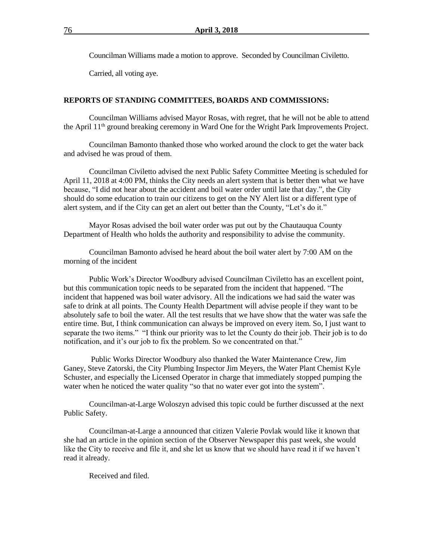Councilman Williams made a motion to approve. Seconded by Councilman Civiletto.

Carried, all voting aye.

#### **REPORTS OF STANDING COMMITTEES, BOARDS AND COMMISSIONS:**

Councilman Williams advised Mayor Rosas, with regret, that he will not be able to attend the April 11th ground breaking ceremony in Ward One for the Wright Park Improvements Project.

Councilman Bamonto thanked those who worked around the clock to get the water back and advised he was proud of them.

Councilman Civiletto advised the next Public Safety Committee Meeting is scheduled for April 11, 2018 at 4:00 PM, thinks the City needs an alert system that is better then what we have because, "I did not hear about the accident and boil water order until late that day.", the City should do some education to train our citizens to get on the NY Alert list or a different type of alert system, and if the City can get an alert out better than the County, "Let's do it."

Mayor Rosas advised the boil water order was put out by the Chautauqua County Department of Health who holds the authority and responsibility to advise the community.

Councilman Bamonto advised he heard about the boil water alert by 7:00 AM on the morning of the incident

Public Work's Director Woodbury advised Councilman Civiletto has an excellent point, but this communication topic needs to be separated from the incident that happened. "The incident that happened was boil water advisory. All the indications we had said the water was safe to drink at all points. The County Health Department will advise people if they want to be absolutely safe to boil the water. All the test results that we have show that the water was safe the entire time. But, I think communication can always be improved on every item. So, I just want to separate the two items." "I think our priority was to let the County do their job. Their job is to do notification, and it's our job to fix the problem. So we concentrated on that."

Public Works Director Woodbury also thanked the Water Maintenance Crew, Jim Ganey, Steve Zatorski, the City Plumbing Inspector Jim Meyers, the Water Plant Chemist Kyle Schuster, and especially the Licensed Operator in charge that immediately stopped pumping the water when he noticed the water quality "so that no water ever got into the system".

Councilman-at-Large Woloszyn advised this topic could be further discussed at the next Public Safety.

Councilman-at-Large a announced that citizen Valerie Povlak would like it known that she had an article in the opinion section of the Observer Newspaper this past week, she would like the City to receive and file it, and she let us know that we should have read it if we haven't read it already.

Received and filed.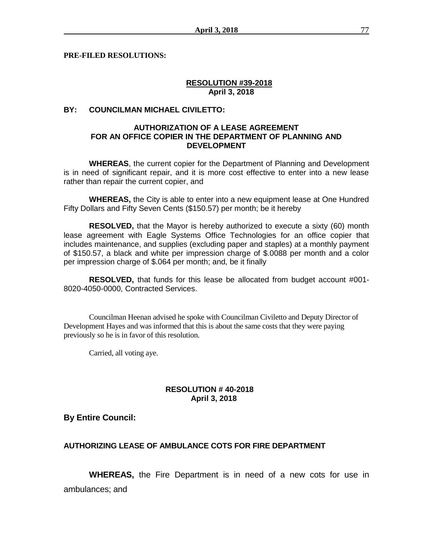**PRE-FILED RESOLUTIONS:** 

# **RESOLUTION #39-2018 April 3, 2018**

# **BY: COUNCILMAN MICHAEL CIVILETTO:**

## **AUTHORIZATION OF A LEASE AGREEMENT FOR AN OFFICE COPIER IN THE DEPARTMENT OF PLANNING AND DEVELOPMENT**

**WHEREAS**, the current copier for the Department of Planning and Development is in need of significant repair, and it is more cost effective to enter into a new lease rather than repair the current copier, and

**WHEREAS,** the City is able to enter into a new equipment lease at One Hundred Fifty Dollars and Fifty Seven Cents (\$150.57) per month; be it hereby

**RESOLVED,** that the Mayor is hereby authorized to execute a sixty (60) month lease agreement with Eagle Systems Office Technologies for an office copier that includes maintenance, and supplies (excluding paper and staples) at a monthly payment of \$150.57, a black and white per impression charge of \$.0088 per month and a color per impression charge of \$.064 per month; and, be it finally

**RESOLVED,** that funds for this lease be allocated from budget account #001- 8020-4050-0000, Contracted Services.

Councilman Heenan advised he spoke with Councilman Civiletto and Deputy Director of Development Hayes and was informed that this is about the same costs that they were paying previously so he is in favor of this resolution.

Carried, all voting aye.

# **RESOLUTION # 40-2018 April 3, 2018**

**By Entire Council:**

## **AUTHORIZING LEASE OF AMBULANCE COTS FOR FIRE DEPARTMENT**

**WHEREAS,** the Fire Department is in need of a new cots for use in ambulances; and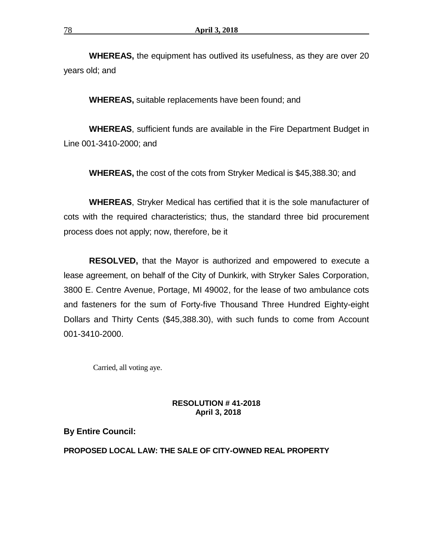**WHEREAS,** the equipment has outlived its usefulness, as they are over 20 years old; and

**WHEREAS,** suitable replacements have been found; and

**WHEREAS**, sufficient funds are available in the Fire Department Budget in Line 001-3410-2000; and

**WHEREAS,** the cost of the cots from Stryker Medical is \$45,388.30; and

**WHEREAS**, Stryker Medical has certified that it is the sole manufacturer of cots with the required characteristics; thus, the standard three bid procurement process does not apply; now, therefore, be it

**RESOLVED,** that the Mayor is authorized and empowered to execute a lease agreement, on behalf of the City of Dunkirk, with Stryker Sales Corporation, 3800 E. Centre Avenue, Portage, MI 49002, for the lease of two ambulance cots and fasteners for the sum of Forty-five Thousand Three Hundred Eighty-eight Dollars and Thirty Cents (\$45,388.30), with such funds to come from Account 001-3410-2000.

Carried, all voting aye.

## **RESOLUTION # 41-2018 April 3, 2018**

**By Entire Council:**

## **PROPOSED LOCAL LAW: THE SALE OF CITY-OWNED REAL PROPERTY**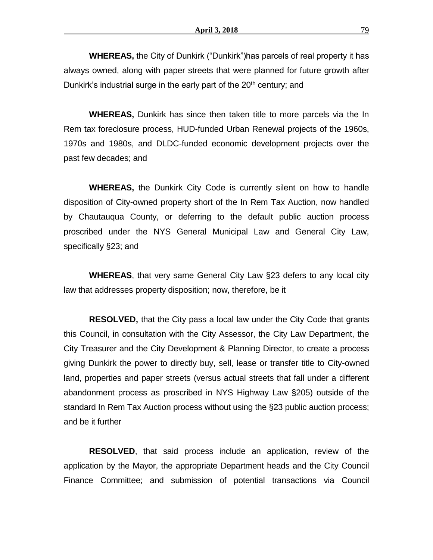**WHEREAS,** the City of Dunkirk ("Dunkirk")has parcels of real property it has always owned, along with paper streets that were planned for future growth after Dunkirk's industrial surge in the early part of the  $20<sup>th</sup>$  century; and

**WHEREAS,** Dunkirk has since then taken title to more parcels via the In Rem tax foreclosure process, HUD-funded Urban Renewal projects of the 1960s, 1970s and 1980s, and DLDC-funded economic development projects over the past few decades; and

**WHEREAS,** the Dunkirk City Code is currently silent on how to handle disposition of City-owned property short of the In Rem Tax Auction, now handled by Chautauqua County, or deferring to the default public auction process proscribed under the NYS General Municipal Law and General City Law, specifically §23; and

**WHEREAS**, that very same General City Law §23 defers to any local city law that addresses property disposition; now, therefore, be it

**RESOLVED,** that the City pass a local law under the City Code that grants this Council, in consultation with the City Assessor, the City Law Department, the City Treasurer and the City Development & Planning Director, to create a process giving Dunkirk the power to directly buy, sell, lease or transfer title to City-owned land, properties and paper streets (versus actual streets that fall under a different abandonment process as proscribed in NYS Highway Law §205) outside of the standard In Rem Tax Auction process without using the §23 public auction process; and be it further

**RESOLVED**, that said process include an application, review of the application by the Mayor, the appropriate Department heads and the City Council Finance Committee; and submission of potential transactions via Council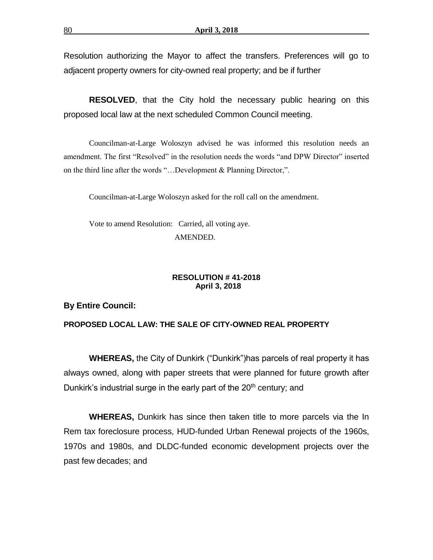Resolution authorizing the Mayor to affect the transfers. Preferences will go to adjacent property owners for city-owned real property; and be if further

**RESOLVED**, that the City hold the necessary public hearing on this proposed local law at the next scheduled Common Council meeting.

Councilman-at-Large Woloszyn advised he was informed this resolution needs an amendment. The first "Resolved" in the resolution needs the words "and DPW Director" inserted on the third line after the words "…Development & Planning Director,".

Councilman-at-Large Woloszyn asked for the roll call on the amendment.

Vote to amend Resolution: Carried, all voting aye. AMENDED.

## **RESOLUTION # 41-2018 April 3, 2018**

## **By Entire Council:**

# **PROPOSED LOCAL LAW: THE SALE OF CITY-OWNED REAL PROPERTY**

**WHEREAS,** the City of Dunkirk ("Dunkirk")has parcels of real property it has always owned, along with paper streets that were planned for future growth after Dunkirk's industrial surge in the early part of the  $20<sup>th</sup>$  century; and

**WHEREAS,** Dunkirk has since then taken title to more parcels via the In Rem tax foreclosure process, HUD-funded Urban Renewal projects of the 1960s, 1970s and 1980s, and DLDC-funded economic development projects over the past few decades; and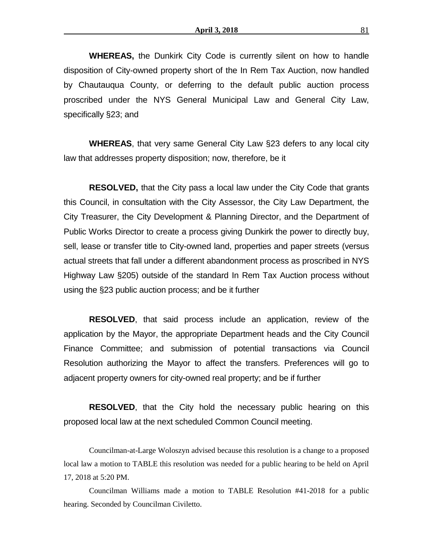**WHEREAS,** the Dunkirk City Code is currently silent on how to handle disposition of City-owned property short of the In Rem Tax Auction, now handled by Chautauqua County, or deferring to the default public auction process proscribed under the NYS General Municipal Law and General City Law, specifically §23; and

**WHEREAS**, that very same General City Law §23 defers to any local city law that addresses property disposition; now, therefore, be it

**RESOLVED,** that the City pass a local law under the City Code that grants this Council, in consultation with the City Assessor, the City Law Department, the City Treasurer, the City Development & Planning Director, and the Department of Public Works Director to create a process giving Dunkirk the power to directly buy, sell, lease or transfer title to City-owned land, properties and paper streets (versus actual streets that fall under a different abandonment process as proscribed in NYS Highway Law §205) outside of the standard In Rem Tax Auction process without using the §23 public auction process; and be it further

**RESOLVED**, that said process include an application, review of the application by the Mayor, the appropriate Department heads and the City Council Finance Committee; and submission of potential transactions via Council Resolution authorizing the Mayor to affect the transfers. Preferences will go to adjacent property owners for city-owned real property; and be if further

**RESOLVED**, that the City hold the necessary public hearing on this proposed local law at the next scheduled Common Council meeting.

Councilman-at-Large Woloszyn advised because this resolution is a change to a proposed local law a motion to TABLE this resolution was needed for a public hearing to be held on April 17, 2018 at 5:20 PM.

Councilman Williams made a motion to TABLE Resolution #41-2018 for a public hearing. Seconded by Councilman Civiletto.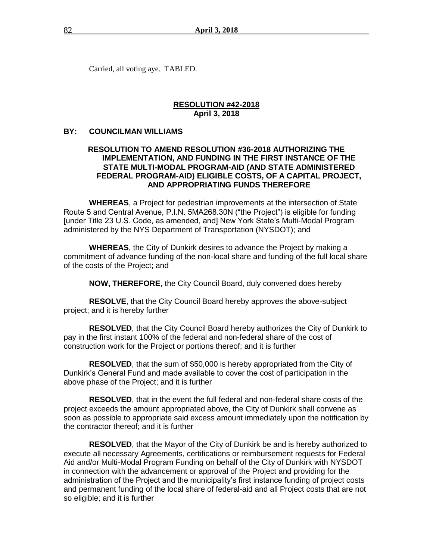Carried, all voting aye. TABLED.

#### **RESOLUTION #42-2018 April 3, 2018**

#### **BY: COUNCILMAN WILLIAMS**

# **RESOLUTION TO AMEND RESOLUTION #36-2018 AUTHORIZING THE IMPLEMENTATION, AND FUNDING IN THE FIRST INSTANCE OF THE STATE MULTI-MODAL PROGRAM-AID (AND STATE ADMINISTERED FEDERAL PROGRAM-AID) ELIGIBLE COSTS, OF A CAPITAL PROJECT, AND APPROPRIATING FUNDS THEREFORE**

**WHEREAS**, a Project for pedestrian improvements at the intersection of State Route 5 and Central Avenue, P.I.N. 5MA268.30N ("the Project") is eligible for funding [under Title 23 U.S. Code, as amended, and] New York State's Multi-Modal Program administered by the NYS Department of Transportation (NYSDOT); and

**WHEREAS**, the City of Dunkirk desires to advance the Project by making a commitment of advance funding of the non-local share and funding of the full local share of the costs of the Project; and

**NOW, THEREFORE**, the City Council Board, duly convened does hereby

**RESOLVE**, that the City Council Board hereby approves the above-subject project; and it is hereby further

**RESOLVED**, that the City Council Board hereby authorizes the City of Dunkirk to pay in the first instant 100% of the federal and non-federal share of the cost of construction work for the Project or portions thereof; and it is further

**RESOLVED**, that the sum of \$50,000 is hereby appropriated from the City of Dunkirk's General Fund and made available to cover the cost of participation in the above phase of the Project; and it is further

**RESOLVED**, that in the event the full federal and non-federal share costs of the project exceeds the amount appropriated above, the City of Dunkirk shall convene as soon as possible to appropriate said excess amount immediately upon the notification by the contractor thereof; and it is further

**RESOLVED**, that the Mayor of the City of Dunkirk be and is hereby authorized to execute all necessary Agreements, certifications or reimbursement requests for Federal Aid and/or Multi-Modal Program Funding on behalf of the City of Dunkirk with NYSDOT in connection with the advancement or approval of the Project and providing for the administration of the Project and the municipality's first instance funding of project costs and permanent funding of the local share of federal-aid and all Project costs that are not so eligible; and it is further